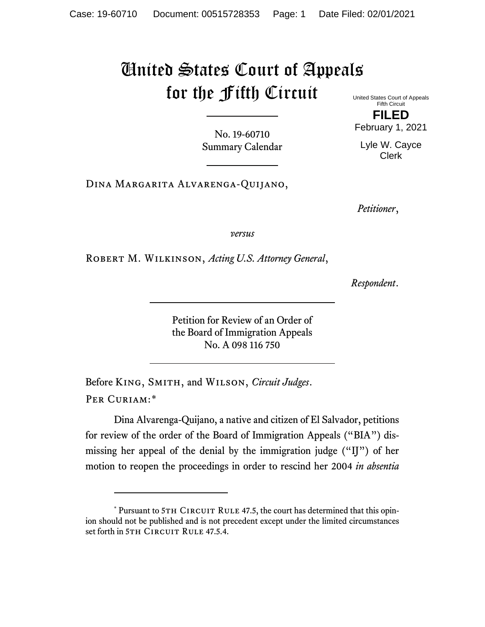## United States Court of Appeals for the Fifth Circuit

United States Court of Appeals Fifth Circuit **FILED**

February 1, 2021

Lyle W. Cayce Clerk

No. 19-60710 Summary Calendar

Dina Margarita Alvarenga-Quijano,

*Petitioner*,

*versus*

Robert M. Wilkinson, *Acting U.S. Attorney General*,

*Respondent*.

Petition for Review of an Order of the Board of Immigration Appeals No. A 098 116 750

Before King, Smith, and Wilson, *Circuit Judges*. Per Curiam:[\\*](#page-0-0)

Dina Alvarenga-Quijano, a native and citizen of El Salvador, petitions for review of the order of the Board of Immigration Appeals ("BIA") dismissing her appeal of the denial by the immigration judge ("IJ") of her motion to reopen the proceedings in order to rescind her 2004 *in absentia*

<span id="page-0-0"></span><sup>\*</sup> Pursuant to 5TH CIRCUIT RULE 47.5, the court has determined that this opinion should not be published and is not precedent except under the limited circumstances set forth in 5TH CIRCUIT RULE 47.5.4.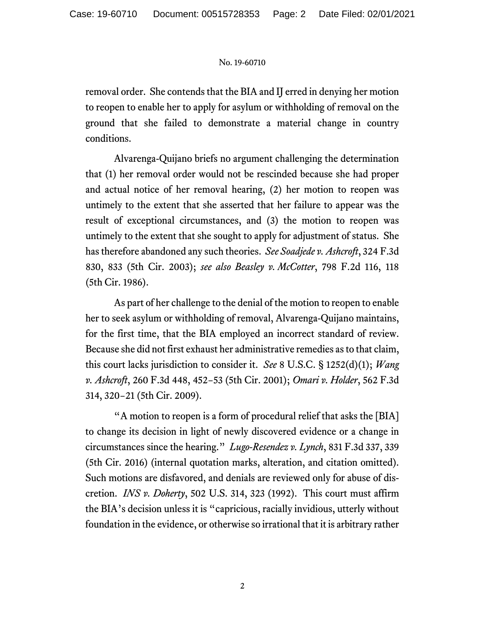## No. 19-60710

removal order. She contends that the BIA and IJ erred in denying her motion to reopen to enable her to apply for asylum or withholding of removal on the ground that she failed to demonstrate a material change in country conditions.

Alvarenga-Quijano briefs no argument challenging the determination that (1) her removal order would not be rescinded because she had proper and actual notice of her removal hearing, (2) her motion to reopen was untimely to the extent that she asserted that her failure to appear was the result of exceptional circumstances, and (3) the motion to reopen was untimely to the extent that she sought to apply for adjustment of status. She has therefore abandoned any such theories. *See Soadjede v. Ashcroft*, 324 F.3d 830, 833 (5th Cir. 2003); *see also Beasley v. McCotter*, 798 F.2d 116, 118 (5th Cir. 1986).

As part of her challenge to the denial of the motion to reopen to enable her to seek asylum or withholding of removal, Alvarenga-Quijano maintains, for the first time, that the BIA employed an incorrect standard of review. Because she did not first exhaust her administrative remedies as to that claim, this court lacks jurisdiction to consider it. *See* 8 U.S.C. § 1252(d)(1); *Wang v. Ashcroft*, 260 F.3d 448, 452−53 (5th Cir. 2001); *Omari v. Holder*, 562 F.3d 314, 320−21 (5th Cir. 2009).

"A motion to reopen is a form of procedural relief that asks the [BIA] to change its decision in light of newly discovered evidence or a change in circumstances since the hearing." *Lugo-Resendez v. Lynch*, 831 F.3d 337, 339 (5th Cir. 2016) (internal quotation marks, alteration, and citation omitted). Such motions are disfavored, and denials are reviewed only for abuse of discretion. *INS v. Doherty*, 502 U.S. 314, 323 (1992). This court must affirm the BIA's decision unless it is "capricious, racially invidious, utterly without foundation in the evidence, or otherwise so irrational that it is arbitrary rather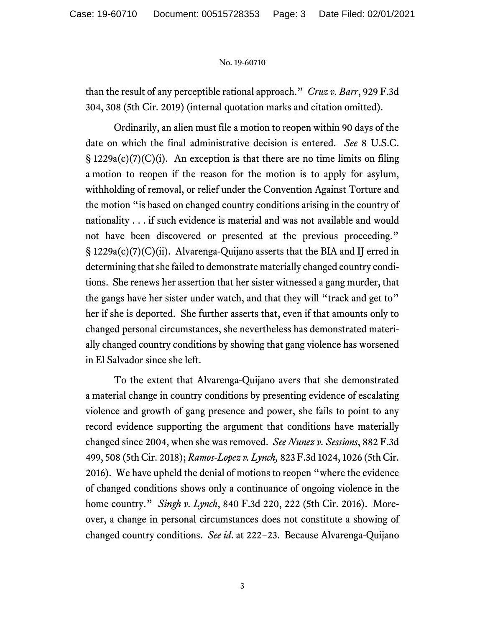## No. 19-60710

than the result of any perceptible rational approach." *Cruz v. Barr*, 929 F.3d 304, 308 (5th Cir. 2019) (internal quotation marks and citation omitted).

Ordinarily, an alien must file a motion to reopen within 90 days of the date on which the final administrative decision is entered. *See* 8 U.S.C.  $\S 1229a(c)(7)(C)(i)$ . An exception is that there are no time limits on filing a motion to reopen if the reason for the motion is to apply for asylum, withholding of removal, or relief under the Convention Against Torture and the motion "is based on changed country conditions arising in the country of nationality . . . if such evidence is material and was not available and would not have been discovered or presented at the previous proceeding." § 1229a(c)(7)(C)(ii). Alvarenga-Quijano asserts that the BIA and IJ erred in determining that she failed to demonstrate materially changed country conditions. She renews her assertion that her sister witnessed a gang murder, that the gangs have her sister under watch, and that they will "track and get to" her if she is deported. She further asserts that, even if that amounts only to changed personal circumstances, she nevertheless has demonstrated materially changed country conditions by showing that gang violence has worsened in El Salvador since she left.

To the extent that Alvarenga-Quijano avers that she demonstrated a material change in country conditions by presenting evidence of escalating violence and growth of gang presence and power, she fails to point to any record evidence supporting the argument that conditions have materially changed since 2004, when she was removed. *See Nunez v. Sessions*, 882 F.3d 499, 508 (5th Cir. 2018); *Ramos-Lopez v. Lynch,* 823 F.3d 1024, 1026 (5th Cir. 2016). We have upheld the denial of motions to reopen "where the evidence of changed conditions shows only a continuance of ongoing violence in the home country." *Singh v. Lynch*, 840 F.3d 220, 222 (5th Cir. 2016). Moreover, a change in personal circumstances does not constitute a showing of changed country conditions. *See id*. at 222−23. Because Alvarenga-Quijano